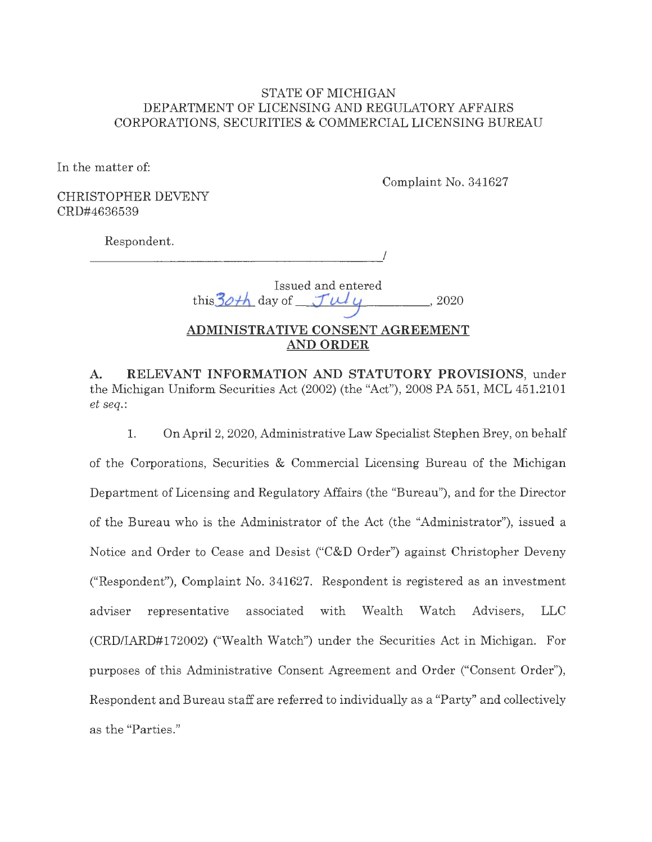### STATE OF MICHIGAN DEPARTMENT OF LICENSING AND REGULATORY AFFAIRS CORPORATIONS, SECURITIES & COMMERCIAL LICENSING BUREAU

In the matter of:

Complaint No. 341627

CHRISTOPHER DEVENY CRD#4636539

Respondent.

I

|                                          | Issued and entered |       |
|------------------------------------------|--------------------|-------|
| this 30th day of $\mathcal{J} \cup \cup$ |                    | -2020 |

# **ADMINISTRATIVE CONSENT AGREEMENT AND ORDER**

**A. RELEVANT INFORMATION AND STATUTORY PROVISIONS,** under the Michigan Uniform Securities Act (2002) (the "Act"), 2008 PA 551, MCL 451.2101 *et seq.:* 

1. On April 2, 2020, Administrative Law Specialist Stephen Brey, on behalf of the Corporations, Securities & Commercial Licensing Bureau of the Michigan Department of Licensing and Regulatory Affairs (the "Bureau"), and for the Director of the Bureau who is the Administrator of the Act (the "Administrator"), issued a Notice and Order to Cease and Desist ("C&D Order") against Christopher Deveny ("Respondent"), Complaint No. 341627. Respondent is registered as an investment adviser representative associated with Wealth Watch Advisers, LLC (CRD/IARD#I 72002) ("Wealth Watch") under the Securities Act in Michigan. For purposes of this Administrative Consent Agreement and Order ("Consent Order"), Respondent and Bureau staff are referred to individually as a "Party" and collectively as the "Parties."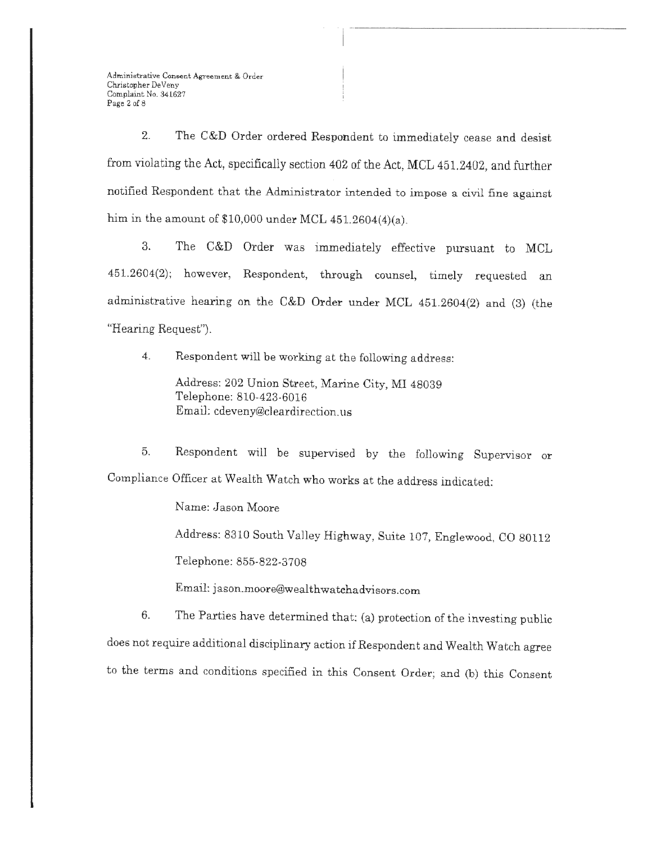Administrative Consent. Agreement & Order Christopher DeVeny Complaint No. 341627 Page 2 of 8

2. The C&D Order ordered Respondent to immediately cease and desist from violating the Act, specifically section 402 of the Act, MCL 451. 2402, and further notified Respondent that the Administrator intended to impose a civil fine against him in the amount of  $$10,000$  under MCL  $451.2604(4)(a)$ .

3. The C&D Order was immediately effective pursuant to MCL 451.2604(2); however, Respondent, through counsel, timely requested an administrative hearing on the C&D Order under MCL 451.2604(2) and (3) (the "Hearing Request").

4. Respondent will be working at the following address:

Address: 202 Union Street, Marine City, **MI** 48039 Telephone: 810-423-6016 Email: cdeveny@cleardirection.us

5. Respondent will be supervised by the following Supervisor or Compliance Officer at Wealth Watch who works at the address indicated:

Name: Jason Moore

Address: 8310 South Valley Highway, Suite 107, Englewood, CO 80112 Telephone: 855-822-3708

Email: jason.moore@wealthwatchadvisors.com

6. The Parties have determined that: {a) protection of the investing public does not require additional disciplinary action if Respondent and Wealth Watch agree to the terms and conditions specified in this Consent Order; and (b) this Consent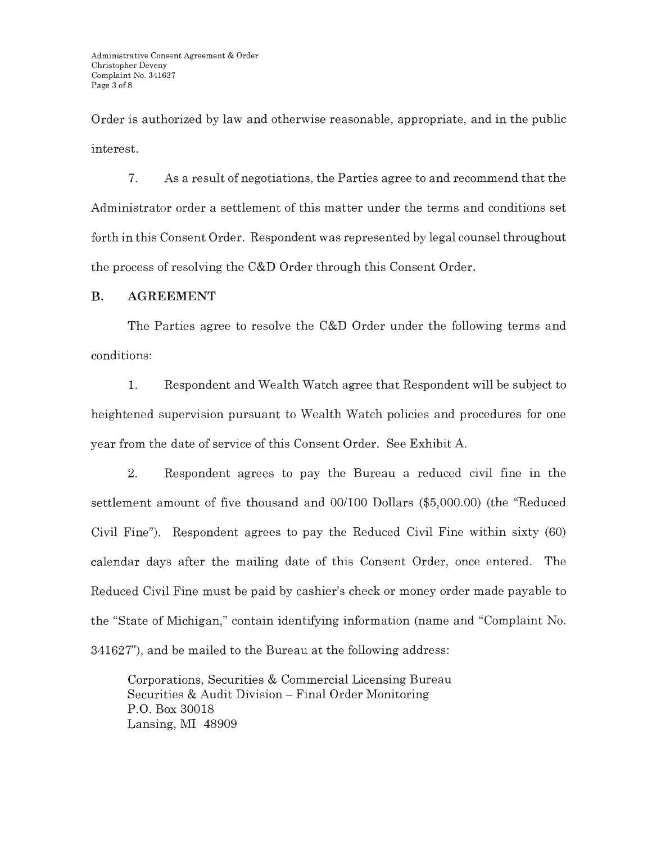Order is authorized by law and otherwise reasonable, appropriate, and in the public interest.

7. As a result of negotiations, the Parties agree to and recommend that the Administrator order a settlement of this matter under the terms and conditions set forth in this Consent Order. Respondent was represented by legal counsel throughout the process of resolving the C&D Order through this Consent Order.

### **B. AGREEMENT**

The Parties agree to resolve the C&D Order under the following terms and conditions:

1. Respondent and Wealth Watch agree that Respondent will be subject to heightened supervision pursuant to Wealth Watch policies and procedures for one year from the date of service of this Consent Order. See Exhibit A.

2. Respondent agrees to pay the Bureau a reduced civil fine in the settlement amount of five thousand and 00/100 Dollars (\$5,000.00) (the "Reduced Civil Fine"). Respondent agrees to pay the Reduced Civil Fine within sixty (60) calendar days after the mailing date of this Consent Order, once entered. The Reduced Civil Fine must be paid by cashier's check or money order made payable to the "State of Michigan," contain identifying information (name and "Complaint No. 341627"), and be mailed to the Bureau at the following address:

Corporations, Securities & Commercial Licensing Bureau Securities & Audit Division - Final Order Monitoring P.O. Box 30018 Lansing, MI 48909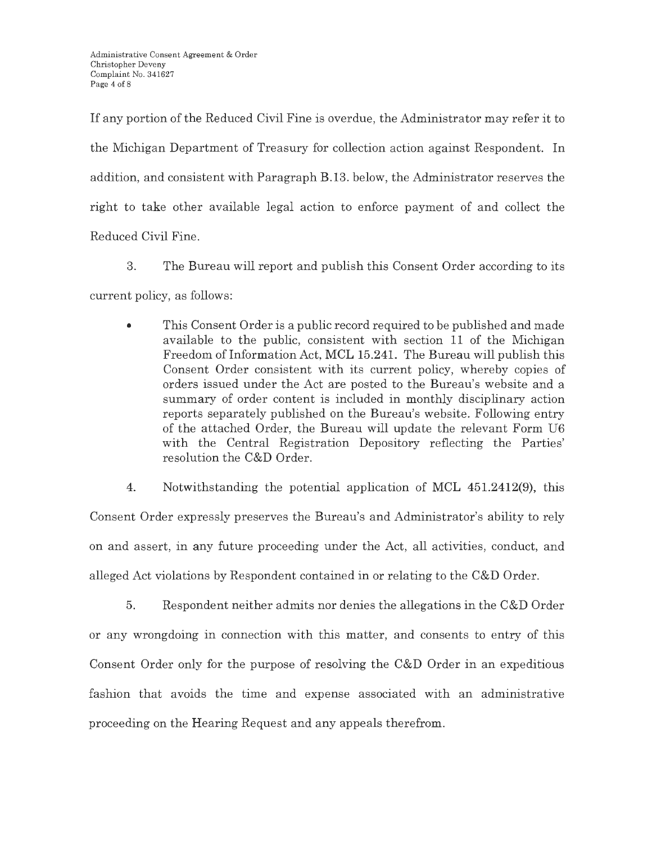If any portion of the Reduced Civil Fine is overdue, the Administrator may refer it to the Michigan Department of Treasury for collection action against Respondent. In addition, and consistent with Paragraph B.13. below, the Administrator reserves the right to take other available legal action to enforce payment of and collect the Reduced Civil Fine.

3. The Bureau will report and publish this Consent Order according to its current policy, as follows:

• This Consent Order is a public record required to be published and made available to the public, consistent with section 11 of the Michigan Freedom of Information Act, MCL 15.241. The Bureau will publish this Consent Order consistent with its current policy, whereby copies of orders issued under the Act are posted to the Bureau's website and a summary of order content is included in monthly disciplinary action reports separately published on the Bureau's website. Following entry of the attached Order, the Bureau will update the relevant Form U6 with the Central Registration Depository reflecting the Parties' resolution the C&D Order.

4. Notwithstanding the potential application of MCL 451.2412(9), this

Consent Order expressly preserves the Bureau's and Administrator's ability to rely on and assert, in any future proceeding under the Act, all activities, conduct, and alleged Act violations by Respondent contained in or relating to the C&D Order.

5. Respondent neither admits nor denies the allegations in the C&D Order or any wrongdoing in connection with this matter, and consents to entry of this Consent Order only for the purpose of resolving the C&D Order in an expeditious fashion that avoids the time and expense associated with an administrative proceeding on the Hearing Request and any appeals therefrom.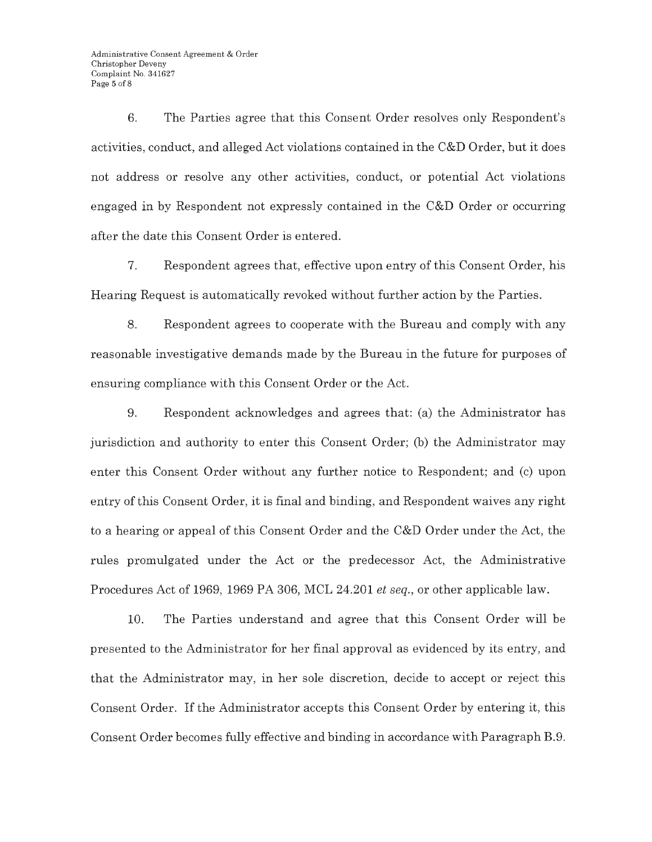6. The Parties agree that this Consent Order resolves only Respondent's activities, conduct, and alleged Act violations contained in the C&D Order, but it does not address or resolve any other activities, conduct, or potential Act violations engaged in by Respondent not expressly contained in the C&D Order or occurring after the date this Consent Order is entered.

7. Respondent agrees that, effective upon entry of this Consent Order, his Hearing Request is automatically revoked without further action by the Parties.

8. Respondent agrees to cooperate with the Bureau and comply with any reasonable investigative demands made by the Bureau in the future for purposes of ensuring compliance with this Consent Order or the Act.

9. Respondent acknowledges and agrees that: (a) the Administrator has jurisdiction and authority to enter this Consent Order; (b) the Administrator may enter this Consent Order without any further notice to Respondent; and (c) upon entry of this Consent Order, it is final and binding, and Respondent waives any right to a hearing or appeal of this Consent Order and the C&D Order under the Act, the rules promulgated under the Act or the predecessor Act, the Administrative Procedures Act of 1969, 1969 PA 306, MCL 24.201 *et seq.,* or other applicable law.

10. The Parties understand and agree that this Consent Order will be presented to the Administrator for her final approval as evidenced by its entry, and that the Administrator may, in her sole discretion, decide to accept or reject this Consent Order. If the Administrator accepts this Consent Order by entering it, this Consent Order becomes fully effective and binding in accordance with Paragraph B.9.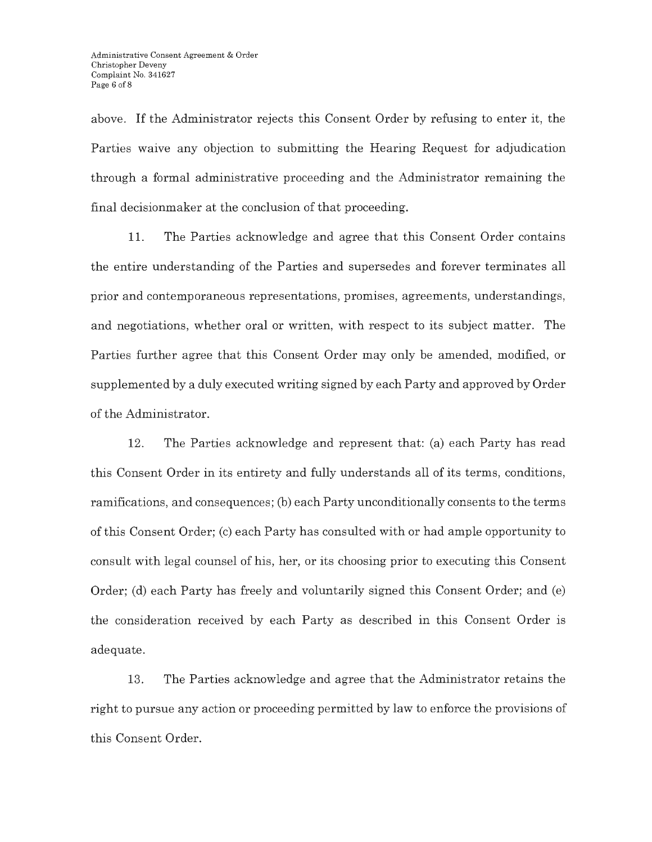above. If the Administrator rejects this Consent Order by refusing to enter it, the Parties waive any objection to submitting the Hearing Request for adjudication through a formal administrative proceeding and the Administrator remaining the final decisionmaker at the conclusion of that proceeding.

11. The Parties acknowledge and agree that this Consent Order contains the entire understanding of the Parties and supersedes and forever terminates all prior and contemporaneous representations, promises, agreements, understandings, and negotiations, whether oral or written, with respect to its subject matter. The Parties further agree that this Consent Order may only be amended, modified, or supplemented by a duly executed writing signed by each Party and approved by Order of the Administrator.

12. The Parties acknowledge and represent that: (a) each Party has read this Consent Order in its entirety and fully understands all of its terms, conditions, ramifications, and consequences; (b) each Party unconditionally consents to the terms of this Consent Order; (c) each Party has consulted with or had ample opportunity to consult with legal counsel of his, her, or its choosing prior to executing this Consent Order; (d) each Party has freely and voluntarily signed this Consent Order; and (e) the consideration received by each Party as described in this Consent Order is adequate.

13. The Parties acknowledge and agree that the Administrator retains the right to pursue any action or proceeding permitted by law to enforce the provisions of this Consent Order.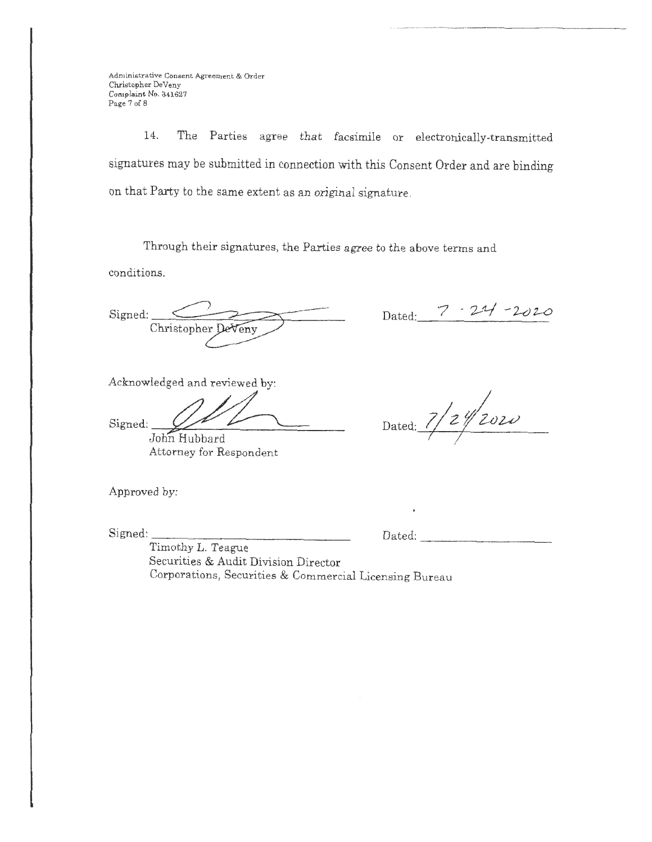Administrative Consent Agreement & Order Christopher De Veny Complaint No. 341627 Page 7 of 8

14. The Parties agree that facsimile or electronically-transmitted signatures may be submitted in connection with this Consent Order and are binding on that Party to the same extent as an original signature.

Through their signatures, the Parties agree to the above terms and.

conditions.

Signed: Christopher DeVeny

Dated: 7 - 21/-2020

Acknowledged and reviewed by:

Signed: John Hubbard

Attorney for Respondent

Approved by:

Signed:

*Dated: 7/2/2020 I I* 

Dated:

Timothy L. Teague Securities & Audit Division Director Corporations, Securities & Commercial Licensing Bureau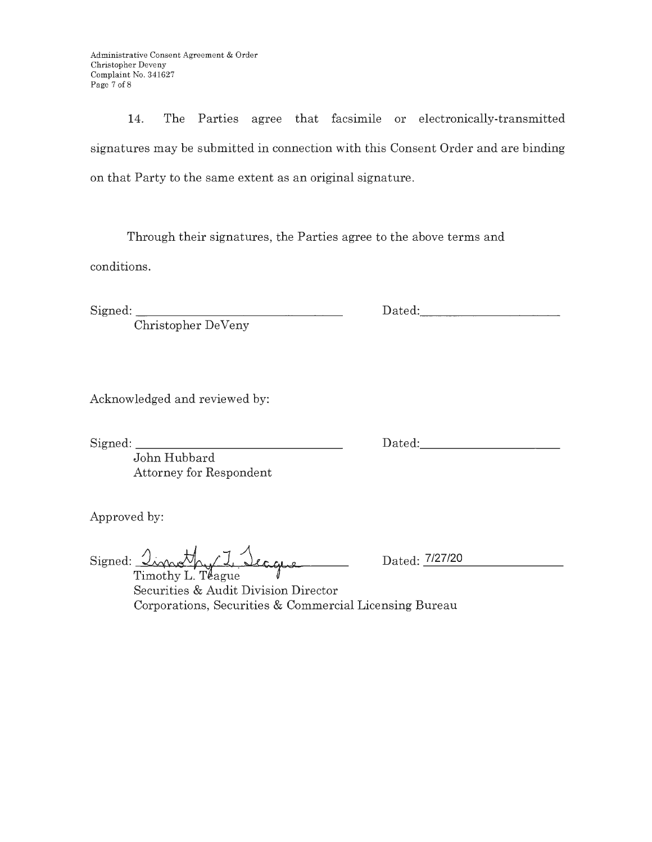Administrative Consent Agreement & Order Christopher Deveny Complaint No. 341627 Page 7 of 8

14. The Parties agree that facsimile or electronically-transmitted signatures may be submitted in connection with this Consent Order and are binding on that Party to the same extent as an original signature.

Through their signatures, the Parties agree to the above terms and

conditions.

Signed:

Christopher De Veny

Acknowledged and reviewed by:

Signed:

John Hubbard Attorney for Respondent

Approved by:

Signed: <u>Import of I</u> Seague

Dated: 7/27/20

Securities & Audit Division Director Corporations, Securities & Commercial Licensing Bureau

Dated: -----------

Dated: The Date of the United States of the United States of the United States of the United States of the United States of the United States of the United States of the United States of the United States of the United Sta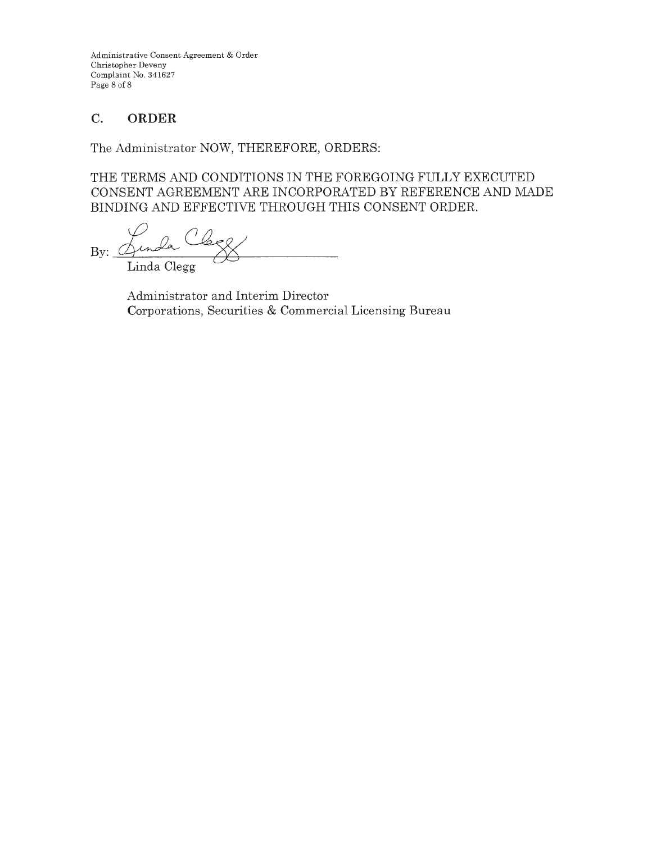Administrative Consent Agreement & Order Christopher Deveny Complaint No. 341627 Page 8 of 8

# **C. ORDER**

The Administrator NOW, THEREFORE, ORDERS:

THE TERMS AND CONDITIONS IN THE FOREGOING FULLY EXECUTED CONSENT AGREEMENT ARE INCORPORATED BY REFERENCE AND MADE BINDING AND EFFECTIVE THROUGH THIS CONSENT ORDER.

By: Gunda Clergy Linda Clegg

Administrator and Interim Director Corporations, Securities & Commercial Licensing Bureau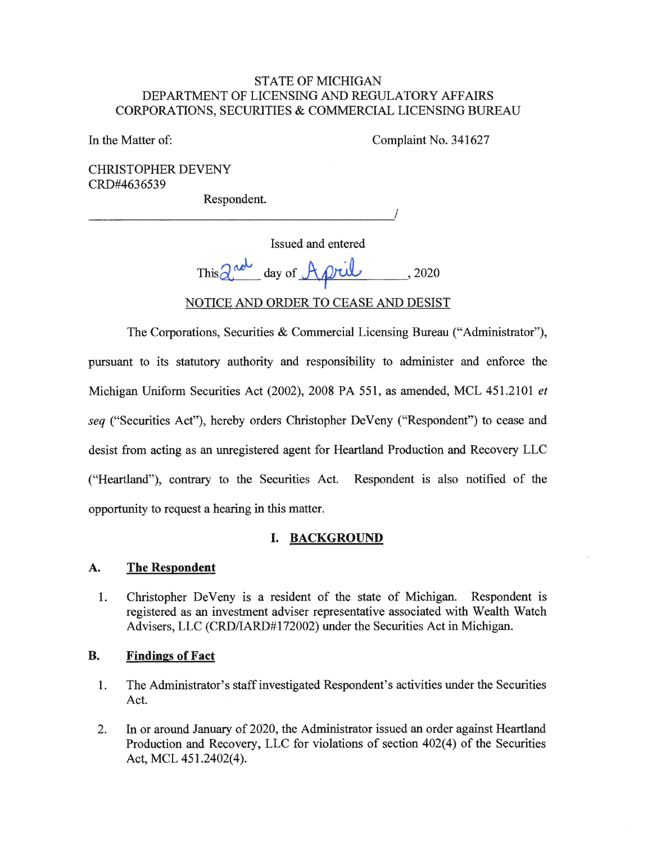### STATE OF MICHIGAN DEPARTMENT OF LICENSING AND REGULATORY AFFAIRS CORPORATIONS, SECURITIES & COMMERCIAL LICENSING BUREAU

In the Matter of: Complaint No. 341627

CHRISTOPHER DEVENY CRD#4636539

Respondent.

Respondent. Issued and entered This  $\alpha^{\omega}$  day of  $\Lambda \rho$ ril, 2020 NOTICE AND ORDER TO CEASE AND DESIST

The Corporations, Securities & Commercial Licensing Bureau ("Administrator"), pursuant to its statutory authority and responsibility to administer and enforce the Michigan Uniform Securities Act (2002), 2008 PA 551, as amended, MCL 451.2101 *et seq* ("Securities Act"), hereby orders Christopher DeVeny ("Respondent") to cease and desist from acting as an unregistered agent for Heartland Production and Recovery LLC ("Heartland"), contrary to the Securities Act. Respondent is also notified of the opportunity to request a hearing in this matter.

## **I. BACKGROUND**

### **A. The Respondent**

1. Christopher DeVeny is a resident of the state of Michigan. Respondent is registered as an investment adviser representative associated with Wealth Watch Advisers, LLC (CRD/IARD#172002) under the Securities Act in Michigan.

### **B. Findings of Fact**

- 1. The Administrator's staff investigated Respondent's activities under the Securities Act.
- 2. In or around January of 2020, the Administrator issued an order against Heartland Production and Recovery, LLC for violations of section 402(4) of the Securities Act, MCL 451.2402(4).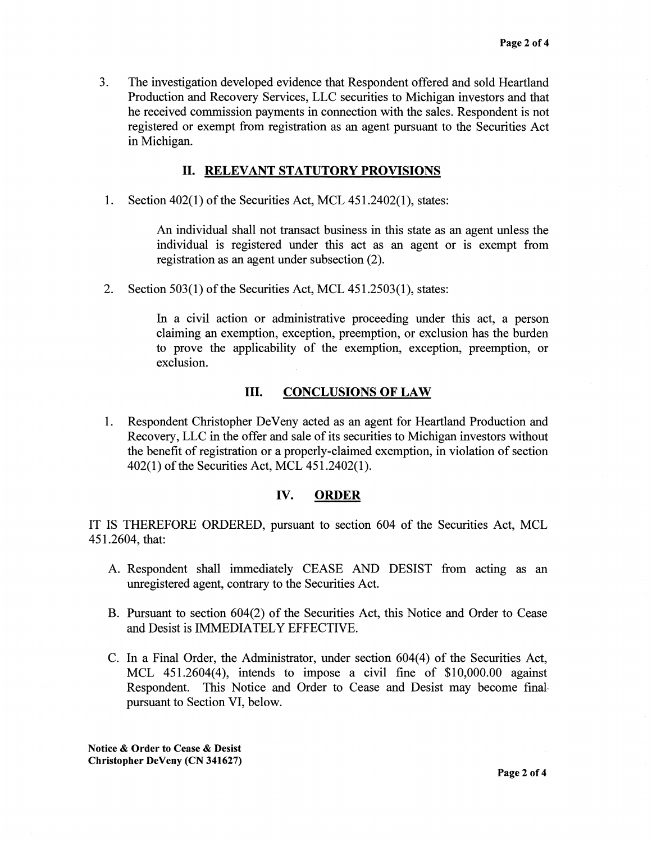3. The investigation developed evidence that Respondent offered and sold Heartland Production and Recovery Services, LLC securities to Michigan investors and that he received commission payments in connection with the sales. Respondent is not registered or exempt from registration as an agent pursuant to the Securities Act in Michigan.

#### II. **RELEVANT STATUTORY PROVISIONS**

1. Section 402(1) of the Securities Act, MCL 451.2402(1), states:

An individual shall not transact business in this state as an agent unless the individual is registered under this act as an agent or is exempt from registration as an agent under subsection (2).

2. Section 503(1) of the Securities Act, MCL 451.2503(1), states:

In a civil action or administrative proceeding under this act, a person claiming an exemption, exception, preemption, or exclusion has the burden to prove the applicability of the exemption, exception, preemption, or exclusion.

### III. **CONCLUSIONS OF LAW**

1. Respondent Christopher De Veny acted as an agent for Heartland Production and Recovery, LLC in the offer and sale of its securities to Michigan investors without the benefit of registration or a properly-claimed exemption, in violation of section 402(1) of the Securities Act, MCL 451.2402(1).

#### **IV. ORDER**

IT IS THEREFORE ORDERED, pursuant to section 604 of the Securities Act, MCL 451.2604, that:

- A. Respondent shall immediately CEASE AND DESIST from acting as an unregistered agent, contrary to the Securities Act.
- B. Pursuant to section 604(2) of the Securities Act, this Notice and Order to Cease and Desist is IMMEDIATELY EFFECTIVE.
- C. In a Final Order, the Administrator, under section 604(4) of the Securities Act, MCL 451.2604(4), intends to impose a civil fine of \$10,000.00 against Respondent. This Notice and Order to Cease and Desist may become final pursuant to Section VI, below.

**Notice** & **Order to Cease** & **Desist Christopher DeVeny (CN 341627)**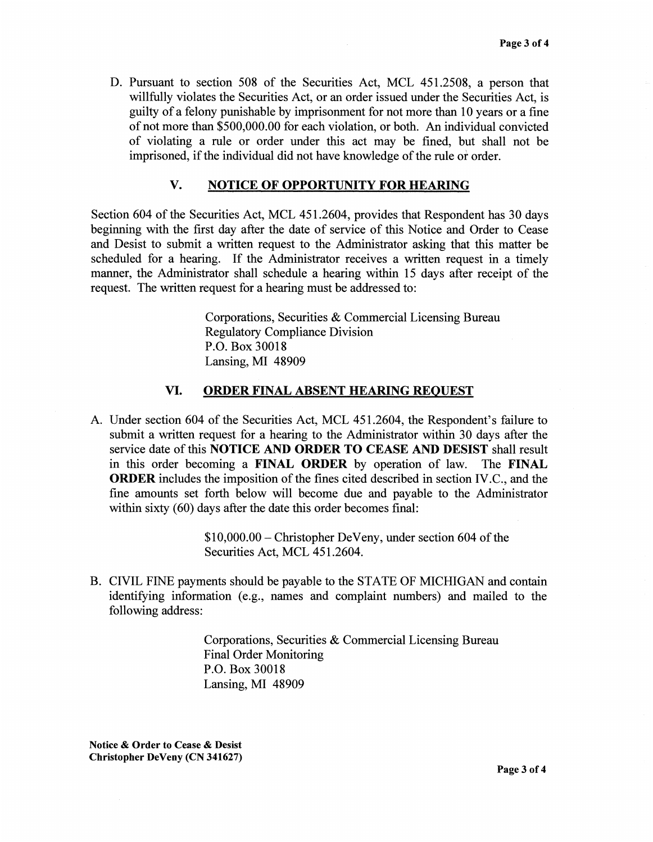D. Pursuant to section 508 of the Securities Act, MCL 451.2508, a person that willfully violates the Securities Act, or an order issued under the Securities Act, is guilty of a felony punishable by imprisonment for not more than 10 years or a fine of not more than \$500,000.00 for each violation, or both. An individual convicted of violating a rule or order under this act may be fined, but shall not be imprisoned, if the individual did not have knowledge of the rule or order.

#### **V. NOTICE OF OPPORTUNITY FOR HEARING**

Section 604 of the Securities Act, MCL 451.2604, provides that Respondent has 30 days beginning with the first day after the date of service of this Notice and Order to Cease and Desist to submit a written request to the Administrator asking that this matter be scheduled for a hearing. If the Administrator receives a written request in a timely manner, the Administrator shall schedule a hearing within 15 days after receipt of the request. The written request for a hearing must be addressed to:

> Corporations, Securities & Commercial Licensing Bureau Regulatory Compliance Division P.O. Box 30018 Lansing, MI 48909

#### **VI. ORDER FINAL ABSENT HEARING REQUEST**

A. Under section 604 of the Securities Act, MCL 451.2604, the Respondent's failure to submit a written request for a hearing to the Administrator within 30 days after the service date of this **NOTICE AND ORDER TO CEASE AND DESIST** shall result in this order becoming a **FINAL ORDER** by operation of law. The **FINAL ORDER** includes the imposition of the fines cited described in section IV.C., and the fine amounts set forth below will become due and payable to the Administrator within sixty (60) days after the date this order becomes final:

> \$10,000.00- Christopher DeVeny, under section 604 of the Securities Act, MCL 451.2604.

B. CIVIL FINE payments should be payable to the STATE OF MICHIGAN and contain identifying information (e.g., names and complaint numbers) and mailed to the following address:

> Corporations, Securities & Commercial Licensing Bureau Final Order Monitoring P.O. Box 30018 Lansing, MI 48909

**Notice** & **Order to Cease** & **Desist Christopher DeVeny (CN 341627)**